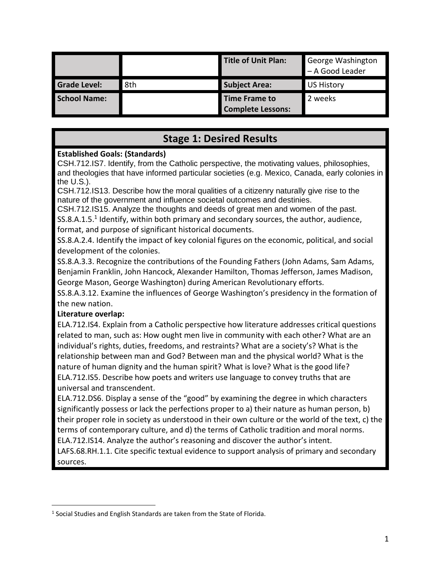|                     |     | Title of Unit Plan:                       | George Washington<br>- A Good Leader |
|---------------------|-----|-------------------------------------------|--------------------------------------|
| <b>Grade Level:</b> | 8th | <b>Subject Area:</b>                      | <b>US History</b>                    |
| <b>School Name:</b> |     | Time Frame to<br><b>Complete Lessons:</b> | 2 weeks                              |

# **Stage 1: Desired Results**

### **Established Goals: (Standards)**

CSH.712.IS7. Identify, from the Catholic perspective, the motivating values, philosophies, and theologies that have informed particular societies (e.g. Mexico, Canada, early colonies in the U.S.).

CSH.712.IS13. Describe how the moral qualities of a citizenry naturally give rise to the nature of the government and influence societal outcomes and destinies.

CSH.712.IS15. Analyze the thoughts and deeds of great men and women of the past.

 $SS.8.A.1.5<sup>1</sup>$  Identify, within both primary and secondary sources, the author, audience, format, and purpose of significant historical documents.

SS.8.A.2.4. Identify the impact of key colonial figures on the economic, political, and social development of the colonies.

SS.8.A.3.3. Recognize the contributions of the Founding Fathers (John Adams, Sam Adams, Benjamin Franklin, John Hancock, Alexander Hamilton, Thomas Jefferson, James Madison, George Mason, George Washington) during American Revolutionary efforts.

SS.8.A.3.12. Examine the influences of George Washington's presidency in the formation of the new nation.

## **Literature overlap:**

 $\overline{a}$ 

ELA.712.IS4. Explain from a Catholic perspective how literature addresses critical questions related to man, such as: How ought men live in community with each other? What are an individual's rights, duties, freedoms, and restraints? What are a society's? What is the relationship between man and God? Between man and the physical world? What is the nature of human dignity and the human spirit? What is love? What is the good life? ELA.712.IS5. Describe how poets and writers use language to convey truths that are universal and transcendent.

ELA.712.DS6. Display a sense of the "good" by examining the degree in which characters significantly possess or lack the perfections proper to a) their nature as human person, b) their proper role in society as understood in their own culture or the world of the text, c) the terms of contemporary culture, and d) the terms of Catholic tradition and moral norms. ELA.712.IS14. Analyze the author's reasoning and discover the author's intent.

LAFS.68.RH.1.1. Cite specific textual evidence to support analysis of primary and secondary sources.

 $<sup>1</sup>$  Social Studies and English Standards are taken from the State of Florida.</sup>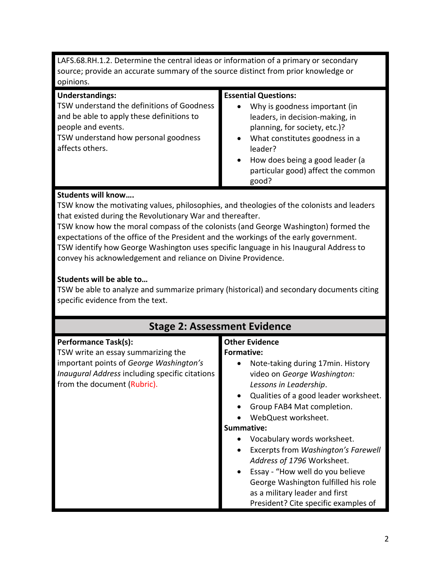LAFS.68.RH.1.2. Determine the central ideas or information of a primary or secondary source; provide an accurate summary of the source distinct from prior knowledge or opinions.

| <b>Understandings:</b>                                                                                        | <b>Essential Questions:</b>                                                                                    |
|---------------------------------------------------------------------------------------------------------------|----------------------------------------------------------------------------------------------------------------|
| TSW understand the definitions of Goodness<br>and be able to apply these definitions to<br>people and events. | Why is goodness important (in<br>$\bullet$<br>leaders, in decision-making, in<br>planning, for society, etc.)? |
| TSW understand how personal goodness<br>affects others.                                                       | What constitutes goodness in a<br>$\bullet$<br>leader?                                                         |
|                                                                                                               | How does being a good leader (a<br>$\bullet$<br>particular good) affect the common<br>good?                    |

#### **Students will know….**

TSW know the motivating values, philosophies, and theologies of the colonists and leaders that existed during the Revolutionary War and thereafter.

TSW know how the moral compass of the colonists (and George Washington) formed the expectations of the office of the President and the workings of the early government. TSW identify how George Washington uses specific language in his Inaugural Address to convey his acknowledgement and reliance on Divine Providence.

#### **Students will be able to…**

TSW be able to analyze and summarize primary (historical) and secondary documents citing specific evidence from the text.

| <b>Stage 2: Assessment Evidence</b>            |                                                  |  |  |
|------------------------------------------------|--------------------------------------------------|--|--|
| <b>Performance Task(s):</b>                    | <b>Other Evidence</b>                            |  |  |
| TSW write an essay summarizing the             | Formative:                                       |  |  |
| important points of George Washington's        | Note-taking during 17 min. History               |  |  |
| Inaugural Address including specific citations | video on George Washington:                      |  |  |
| from the document (Rubric).                    | Lessons in Leadership.                           |  |  |
|                                                | Qualities of a good leader worksheet.            |  |  |
|                                                | Group FAB4 Mat completion.                       |  |  |
|                                                | WebQuest worksheet.                              |  |  |
|                                                | Summative:                                       |  |  |
|                                                | Vocabulary words worksheet.                      |  |  |
|                                                | Excerpts from Washington's Farewell<br>$\bullet$ |  |  |
|                                                | Address of 1796 Worksheet.                       |  |  |
|                                                | Essay - "How well do you believe<br>$\bullet$    |  |  |
|                                                | George Washington fulfilled his role             |  |  |
|                                                | as a military leader and first                   |  |  |
|                                                | President? Cite specific examples of             |  |  |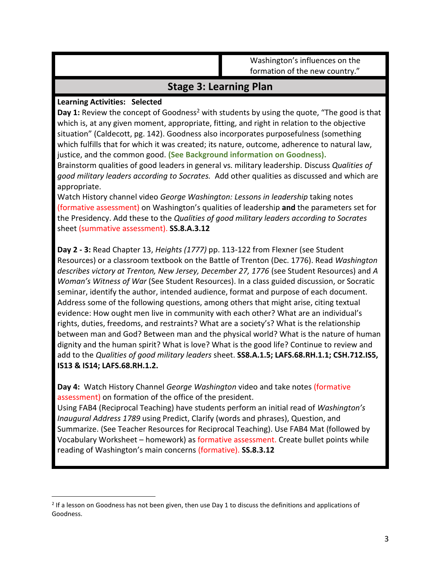Washington's influences on the formation of the new country."

# **Stage 3: Learning Plan**

#### **Learning Activities: Selected**

 $\overline{a}$ 

**Day 1:** Review the concept of Goodness<sup>2</sup> with students by using the quote, "The good is that which is, at any given moment, appropriate, fitting, and right in relation to the objective situation" (Caldecott, pg. 142). Goodness also incorporates purposefulness (something which fulfills that for which it was created; its nature, outcome, adherence to natural law, justice, and the common good. **(See Background information on Goodness).**

Brainstorm qualities of good leaders in general vs. military leadership. Discuss *Qualities of good military leaders according to Socrates.* Add other qualities as discussed and which are appropriate.

Watch History channel video *George Washington: Lessons in leadership* taking notes (formative assessment) on Washington's qualities of leadership **and** the parameters set for the Presidency. Add these to the *Qualities of good military leaders according to Socrates* sheet (summative assessment). **SS.8.A.3.12**

**Day 2 - 3:** Read Chapter 13, *Heights (1777)* pp. 113-122 from Flexner (see Student Resources) or a classroom textbook on the Battle of Trenton (Dec. 1776). Read *Washington describes victory at Trenton, New Jersey, December 27, 1776* (see Student Resources) and *A Woman's Witness of War* (See Student Resources). In a class guided discussion, or Socratic seminar, identify the author, intended audience, format and purpose of each document. Address some of the following questions, among others that might arise, citing textual evidence: How ought men live in community with each other? What are an individual's rights, duties, freedoms, and restraints? What are a society's? What is the relationship between man and God? Between man and the physical world? What is the nature of human dignity and the human spirit? What is love? What is the good life? Continue to review and add to the *Qualities of good military leaders* sheet. **SS8.A.1.5; LAFS.68.RH.1.1; CSH.712.IS5, IS13 & IS14; LAFS.68.RH.1.2.**

**Day 4:** Watch History Channel *George Washington* video and take notes (formative assessment) on formation of the office of the president.

Using FAB4 (Reciprocal Teaching) have students perform an initial read of *Washington's Inaugural Address 1789* using Predict, Clarify (words and phrases), Question, and Summarize. (See Teacher Resources for Reciprocal Teaching). Use FAB4 Mat (followed by Vocabulary Worksheet – homework) as formative assessment. Create bullet points while reading of Washington's main concerns (formative). **SS.8.3.12**

 $2$  If a lesson on Goodness has not been given, then use Day 1 to discuss the definitions and applications of Goodness.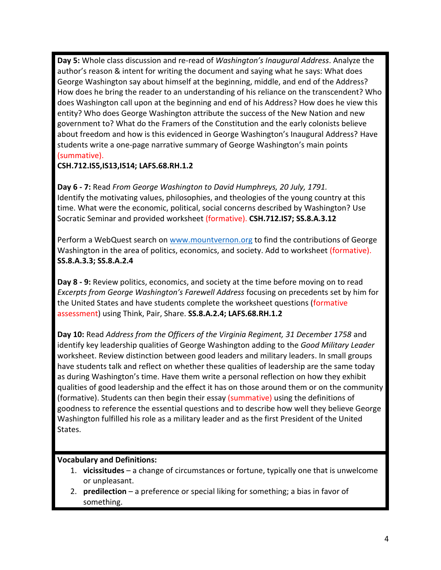**Day 5:** Whole class discussion and re-read of *Washington's Inaugural Address*. Analyze the author's reason & intent for writing the document and saying what he says: What does George Washington say about himself at the beginning, middle, and end of the Address? How does he bring the reader to an understanding of his reliance on the transcendent? Who does Washington call upon at the beginning and end of his Address? How does he view this entity? Who does George Washington attribute the success of the New Nation and new government to? What do the Framers of the Constitution and the early colonists believe about freedom and how is this evidenced in George Washington's Inaugural Address? Have students write a one-page narrative summary of George Washington's main points (summative).

#### **CSH.712.IS5,IS13,IS14; LAFS.68.RH.1.2**

**Day 6 - 7:** Read *From George Washington to David Humphreys, 20 July, 1791.* Identify the motivating values, philosophies, and theologies of the young country at this time. What were the economic, political, social concerns described by Washington? Use Socratic Seminar and provided worksheet (formative). **CSH.712.IS7; SS.8.A.3.12**

Perform a WebQuest search on [www.mountvernon.org](https://www.mountvernon.org/george-washington/the-first-president/) to find the contributions of George Washington in the area of politics, economics, and society. Add to worksheet (formative). **SS.8.A.3.3; SS.8.A.2.4**

**Day 8 - 9:** Review politics, economics, and society at the time before moving on to read *Excerpts from George Washington's Farewell Address* focusing on precedents set by him for the United States and have students complete the worksheet questions (formative assessment) using Think, Pair, Share. **SS.8.A.2.4; LAFS.68.RH.1.2**

**Day 10:** Read *Address from the Officers of the Virginia Regiment, 31 December 1758* and identify key leadership qualities of George Washington adding to the *Good Military Leader* worksheet. Review distinction between good leaders and military leaders. In small groups have students talk and reflect on whether these qualities of leadership are the same today as during Washington's time. Have them write a personal reflection on how they exhibit qualities of good leadership and the effect it has on those around them or on the community (formative). Students can then begin their essay (summative) using the definitions of goodness to reference the essential questions and to describe how well they believe George Washington fulfilled his role as a military leader and as the first President of the United States.

#### **Vocabulary and Definitions:**

- 1. **vicissitudes** a change of circumstances or fortune, typically one that is unwelcome or unpleasant.
- 2. **predilection** a preference or special liking for something; a bias in favor of something.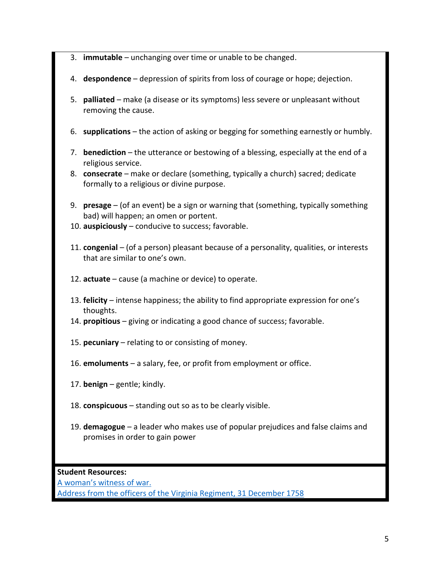- 3. **immutable**  unchanging over time or unable to be changed.
- 4. **despondence** depression of spirits from loss of courage or hope; dejection.
- 5. **palliated** make (a disease or its symptoms) less severe or unpleasant without removing the cause.
- 6. **supplications** the action of asking or begging for something earnestly or humbly.
- 7. **benediction** the utterance or bestowing of a blessing, especially at the end of a religious service.
- 8. **consecrate** make or declare (something, typically a church) sacred; dedicate formally to a religious or divine purpose.
- 9. **presage** (of an event) be a sign or warning that (something, typically something bad) will happen; an omen or portent.
- 10. **auspiciously** conducive to success; favorable.
- 11. **congenial** (of a person) pleasant because of a personality, qualities, or interests that are similar to one's own.
- 12. **actuate** cause (a machine or device) to operate.
- 13. **felicity** intense happiness; the ability to find appropriate expression for one's thoughts.
- 14. **propitious** giving or indicating a good chance of success; favorable.
- 15. **pecuniary** relating to or consisting of money.
- 16. **emoluments** a salary, fee, or profit from employment or office.
- 17. **benign** gentle; kindly.
- 18. **conspicuous** standing out so as to be clearly visible.
- 19. **demagogue** a leader who makes use of popular prejudices and false claims and promises in order to gain power

**Student Resources:**

[A woman's witness of war.](http://www.socialstudies.org/sites/default/files/publications/yl/1702/170205.pdf) [Address from the officers of the Virginia Regiment, 31 December 1758](https://founders.archives.gov/documents/Washington/02-06-02-0147)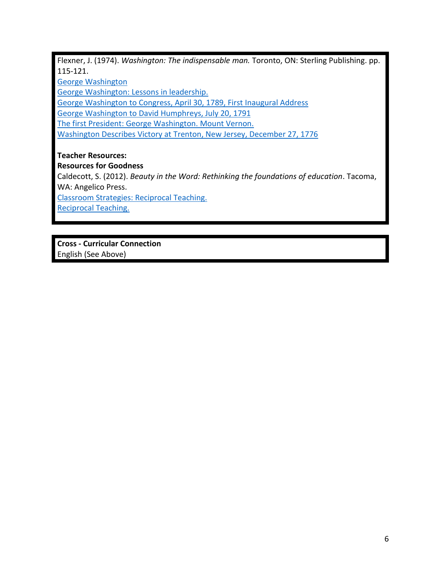Flexner, J. (1974). *Washington: The indispensable man.* Toronto, ON: Sterling Publishing. pp. 115-121.

[George Washington](https://www.history.com/topics/us-presidents/george-washington)

[George Washington: Lessons in leadership.](https://youtu.be/wwSHeAJ4zpU)

George [Washington](https://www.archives.gov/exhibits/american_originals/inaugtxt.html) to Congress, April 30, 1789, First Inaugural Address

George Washington to David [Humphreys,](https://founders.archives.gov/documents/Washington/05-08-02-0251) July 20, 1791

[The first President: George Washington. Mount Vernon.](https://www.mountvernon.org/george-washington/the-first-president/)

[Washington Describes Victory at Trenton, New Jersey, December 27, 1776](http://www.loc.gov/teachers/classroommaterials/presentationsandactivities/presentations/timeline/amrev/north/trenton.html)

**Teacher Resources:**

**Resources for Goodness**

Caldecott, S. (2012). *Beauty in the Word: Rethinking the foundations of education*. Tacoma, WA: Angelico Press.

[Classroom Strategies: Reciprocal Teaching.](http://www.adlit.org/strategies/19765/)

[Reciprocal Teaching.](http://www.readingeducator.com/strategies/reciprocal.htm)

**Cross - Curricular Connection** English (See Above)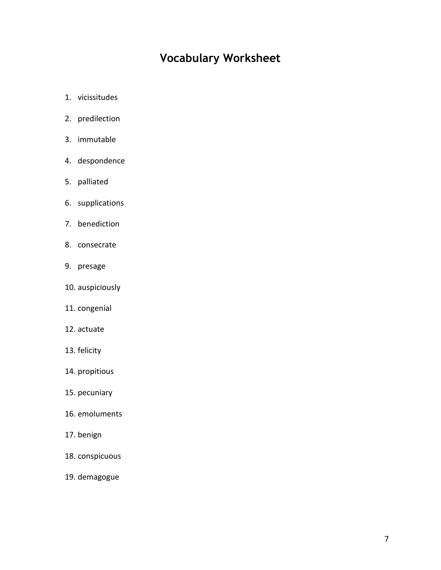# **Vocabulary Worksheet**

- 1. vicissitudes
- 2. predilection
- 3. immutable
- 4. despondence
- 5. palliated
- 6. supplications
- 7. benediction
- 8. consecrate
- 9. presage
- 10. auspiciously
- 11. congenial
- 12. actuate
- 13. felicity
- 14. propitious
- 15. pecuniary
- 16. emoluments
- 17. benign
- 18. conspicuous
- 19. demagogue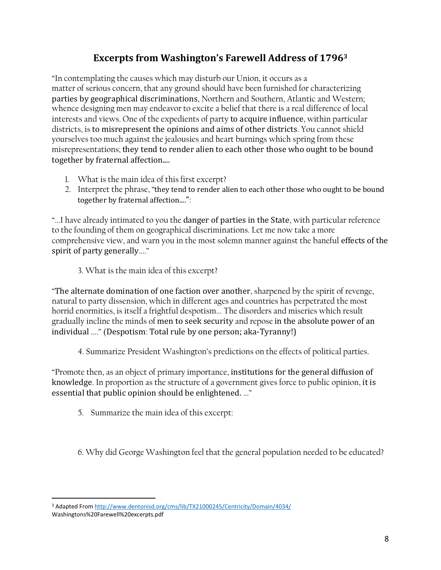# **Excerpts from Washington's Farewell Address of 1796<sup>3</sup>**

"In contemplating the causes which may disturb our Union, it occurs as a matter of serious concern, that any ground should have been furnished for characterizing parties by geographical discriminations, Northern and Southern, Atlantic and Western; whence designing men may endeavor to excite a belief that there is a real difference of local interests and views. One of the expedients of party to acquire influence, within particular districts, is to misrepresent the opinions and aims of other districts. You cannot shield yourselves too much against the jealousies and heart burnings which spring from these misrepresentations; they tend to render alien to each other those who ought to be bound together by fraternal affection....

- 1. What is the main idea of this first excerpt?
- 2. Interpret the phrase, "they tend to render alien to each other those who ought to be bound together by fraternal affection....":

"...I have already intimated to you the danger of parties in the State, with particular reference to the founding of them on geographical discriminations. Let me now take a more comprehensive view, and warn you in the most solemn manner against the baneful effects of the spirit of party generally...."

3. What is the main idea of this excerpt?

"The alternate domination of one faction over another, sharpened by the spirit of revenge, natural to party dissension, which in different ages and countries has perpetrated the most horrid enormities, is itself a frightful despotism... The disorders and miseries which result gradually incline the minds of men to seek security and repose in the absolute power of an individual ...." (Despotism: Total rule by one person; aka-Tyranny!)

4. Summarize President Washington's predictions on the effects of political parties.

"Promote then, as an object of primary importance, institutions for the general diffusion of knowledge. In proportion as the structure of a government gives force to public opinion, it is essential that public opinion should be enlightened. ..."

5. Summarize the main idea of this excerpt:

6. Why did George Washington feel that the general population needed to be educated?

 $\overline{a}$ <sup>3</sup> Adapted Fro[m http://www.dentonisd.org/cms/lib/TX21000245/Centricity/Domain/4034/](http://www.dentonisd.org/cms/lib/TX21000245/Centricity/Domain/4034/)

Washingtons%20Farewell%20excerpts.pdf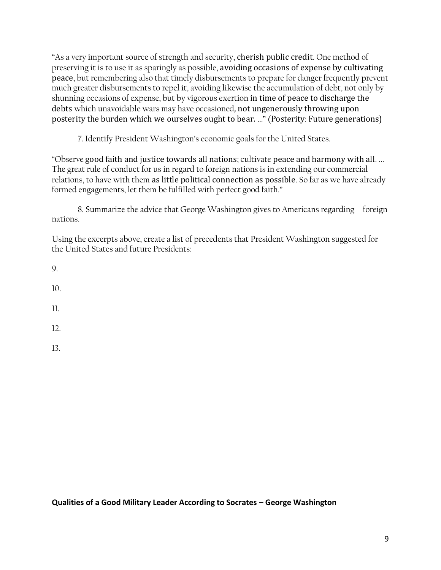"As a very important source of strength and security, cherish public credit. One method of preserving it is to use it as sparingly as possible, avoiding occasions of expense by cultivating peace, but remembering also that timely disbursements to prepare for danger frequently prevent much greater disbursements to repel it, avoiding likewise the accumulation of debt, not only by shunning occasions of expense, but by vigorous exertion in time of peace to discharge the debts which unavoidable wars may have occasioned, not ungenerously throwing upon posterity the burden which we ourselves ought to bear. ..." (Posterity: Future generations)

7. Identify President Washington's economic goals for the United States.

"Observe good faith and justice towards all nations; cultivate peace and harmony with all. ... The great rule of conduct for us in regard to foreign nations is in extending our commercial relations, to have with them as little political connection as possible. So far as we have already formed engagements, let them be fulfilled with perfect good faith."

8. Summarize the advice that George Washington gives to Americans regarding foreign nations.

Using the excerpts above, create a list of precedents that President Washington suggested for the United States and future Presidents:

9.

10.

11.

12.

13.

**Qualities of a Good Military Leader According to Socrates – George Washington**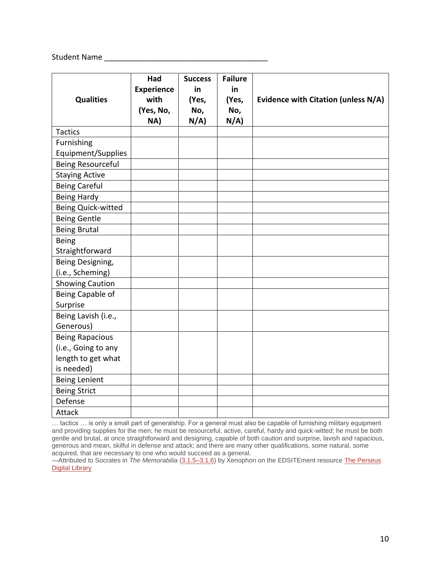Student Name \_\_\_\_\_\_\_\_\_\_\_\_\_\_\_\_\_\_\_\_\_\_\_\_\_\_\_\_\_\_\_\_\_\_\_\_\_\_

| <b>Qualities</b>          | Had<br><b>Experience</b><br>with<br>(Yes, No,<br>NA) | <b>Success</b><br>in<br>(Yes,<br>No,<br>N/A | <b>Failure</b><br>in<br>(Yes,<br>No,<br>N/A | Evidence with Citation (unless N/A) |
|---------------------------|------------------------------------------------------|---------------------------------------------|---------------------------------------------|-------------------------------------|
| <b>Tactics</b>            |                                                      |                                             |                                             |                                     |
| Furnishing                |                                                      |                                             |                                             |                                     |
| Equipment/Supplies        |                                                      |                                             |                                             |                                     |
| <b>Being Resourceful</b>  |                                                      |                                             |                                             |                                     |
| <b>Staying Active</b>     |                                                      |                                             |                                             |                                     |
| <b>Being Careful</b>      |                                                      |                                             |                                             |                                     |
| <b>Being Hardy</b>        |                                                      |                                             |                                             |                                     |
| <b>Being Quick-witted</b> |                                                      |                                             |                                             |                                     |
| <b>Being Gentle</b>       |                                                      |                                             |                                             |                                     |
| <b>Being Brutal</b>       |                                                      |                                             |                                             |                                     |
| <b>Being</b>              |                                                      |                                             |                                             |                                     |
| Straightforward           |                                                      |                                             |                                             |                                     |
| Being Designing,          |                                                      |                                             |                                             |                                     |
| (i.e., Scheming)          |                                                      |                                             |                                             |                                     |
| <b>Showing Caution</b>    |                                                      |                                             |                                             |                                     |
| Being Capable of          |                                                      |                                             |                                             |                                     |
| Surprise                  |                                                      |                                             |                                             |                                     |
| Being Lavish (i.e.,       |                                                      |                                             |                                             |                                     |
| Generous)                 |                                                      |                                             |                                             |                                     |
| <b>Being Rapacious</b>    |                                                      |                                             |                                             |                                     |
| (i.e., Going to any       |                                                      |                                             |                                             |                                     |
| length to get what        |                                                      |                                             |                                             |                                     |
| is needed)                |                                                      |                                             |                                             |                                     |
| <b>Being Lenient</b>      |                                                      |                                             |                                             |                                     |
| <b>Being Strict</b>       |                                                      |                                             |                                             |                                     |
| Defense                   |                                                      |                                             |                                             |                                     |
| Attack                    |                                                      |                                             |                                             |                                     |

… tactics … is only a small part of generalship. For a general must also be capable of furnishing military equipment and providing supplies for the men; he must be resourceful, active, careful, hardy and quick-witted; he must be both gentle and brutal, at once straightforward and designing, capable of both caution and surprise, lavish and rapacious, generous and mean, skilful in defense and attack; and there are many other qualifications, some natural, some acquired, that are necessary to one who would succeed as a general.

<sup>—</sup>Attributed to Socrates in *The Memorabilia* [\(3.1.5–3.1.6\)](http://www.perseus.tufts.edu/cgi-bin/ptext?lookup=Xen.+Mem.+3.1.1) by Xenophon on the EDSITEment resource The [Perseus](http://www.perseus.tufts.edu/) Digital [Library](http://www.perseus.tufts.edu/)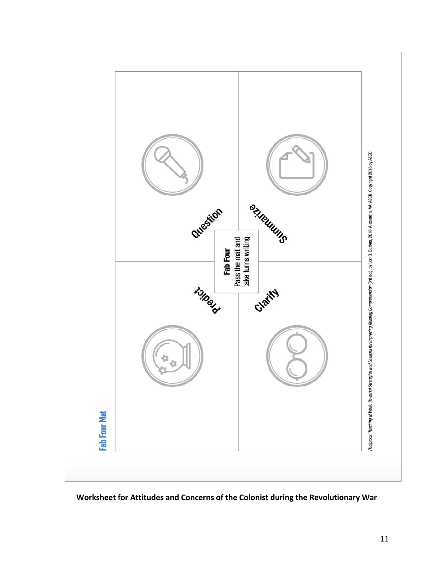

**Worksheet for Attitudes and Concerns of the Colonist during the Revolutionary War**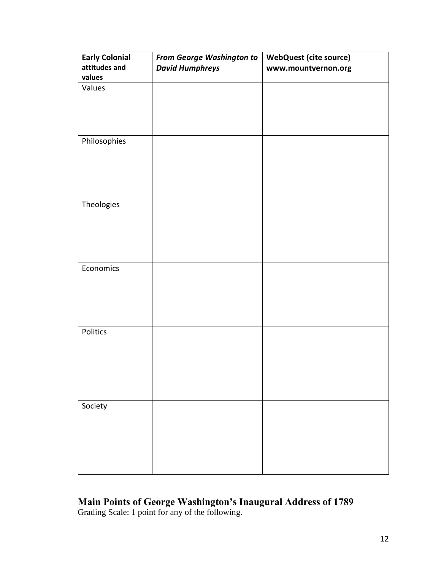| <b>Early Colonial</b><br>attitudes and<br>values | <b>From George Washington to</b><br><b>David Humphreys</b> | <b>WebQuest (cite source)</b><br>www.mountvernon.org |
|--------------------------------------------------|------------------------------------------------------------|------------------------------------------------------|
| Values                                           |                                                            |                                                      |
| Philosophies                                     |                                                            |                                                      |
| Theologies                                       |                                                            |                                                      |
| Economics                                        |                                                            |                                                      |
| Politics                                         |                                                            |                                                      |
| Society                                          |                                                            |                                                      |

## **Main Points of George Washington's Inaugural Address of 1789**  Grading Scale: 1 point for any of the following.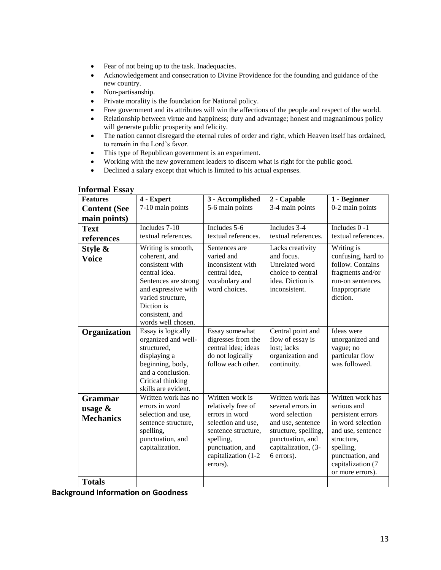- Fear of not being up to the task. Inadequacies.
- Acknowledgement and consecration to Divine Providence for the founding and guidance of the new country.
- Non-partisanship.
- Private morality is the foundation for National policy.
- Free government and its attributes will win the affections of the people and respect of the world.
- Relationship between virtue and happiness; duty and advantage; honest and magnanimous policy will generate public prosperity and felicity.
- The nation cannot disregard the eternal rules of order and right, which Heaven itself has ordained, to remain in the Lord's favor.
- This type of Republican government is an experiment.
- Working with the new government leaders to discern what is right for the public good.
- Declined a salary except that which is limited to his actual expenses.

| <b>Features</b>     | 4 - Expert                               | 3 - Accomplished                        | 2 - Capable                       | 1 - Beginner                          |
|---------------------|------------------------------------------|-----------------------------------------|-----------------------------------|---------------------------------------|
| <b>Content (See</b> | 7-10 main points                         | 5-6 main points                         | 3-4 main points                   | 0-2 main points                       |
| main points)        |                                          |                                         |                                   |                                       |
| <b>Text</b>         | Includes 7-10                            | Includes 5-6                            | Includes 3-4                      | Includes 0 -1                         |
| references          | textual references.                      | textual references.                     | textual references.               | textual references.                   |
| Style &             | Writing is smooth,                       | Sentences are                           | Lacks creativity                  | Writing is                            |
| <b>Voice</b>        | coherent, and                            | varied and                              | and focus.                        | confusing, hard to                    |
|                     | consistent with                          | inconsistent with                       | Unrelated word                    | follow. Contains                      |
|                     | central idea.                            | central idea,                           | choice to central                 | fragments and/or                      |
|                     | Sentences are strong                     | vocabulary and<br>word choices.         | idea. Diction is<br>inconsistent. | run-on sentences.                     |
|                     | and expressive with<br>varied structure, |                                         |                                   | Inappropriate<br>diction.             |
|                     | Diction is                               |                                         |                                   |                                       |
|                     | consistent, and                          |                                         |                                   |                                       |
|                     | words well chosen.                       |                                         |                                   |                                       |
| Organization        | Essay is logically                       | Essay somewhat                          | Central point and                 | Ideas were                            |
|                     | organized and well-                      | digresses from the                      | flow of essay is                  | unorganized and                       |
|                     | structured,                              | central idea; ideas                     | lost; lacks                       | vague; no                             |
|                     | displaying a                             | do not logically                        | organization and                  | particular flow                       |
|                     | beginning, body,                         | follow each other.                      | continuity.                       | was followed.                         |
|                     | and a conclusion.<br>Critical thinking   |                                         |                                   |                                       |
|                     | skills are evident.                      |                                         |                                   |                                       |
| <b>Grammar</b>      | Written work has no                      | Written work is                         | Written work has                  | Written work has                      |
| usage $\&$          | errors in word                           | relatively free of                      | several errors in                 | serious and                           |
| <b>Mechanics</b>    | selection and use,                       | errors in word                          | word selection                    | persistent errors                     |
|                     | sentence structure,                      | selection and use,                      | and use, sentence                 | in word selection                     |
|                     | spelling,                                | sentence structure,                     | structure, spelling,              | and use, sentence                     |
|                     | punctuation, and                         | spelling,                               | punctuation, and                  | structure,                            |
|                     | capitalization.                          | punctuation, and<br>capitalization (1-2 | capitalization, (3-<br>6 errors). | spelling,                             |
|                     |                                          | errors).                                |                                   | punctuation, and<br>capitalization (7 |
|                     |                                          |                                         |                                   | or more errors).                      |
| <b>Totals</b>       |                                          |                                         |                                   |                                       |

#### **Informal Essay**

**Background Information on Goodness**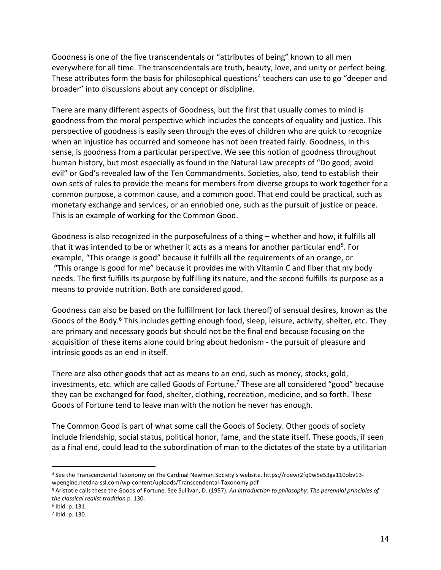Goodness is one of the five transcendentals or "attributes of being" known to all men everywhere for all time. The transcendentals are truth, beauty, love, and unity or perfect being. These attributes form the basis for philosophical questions<sup>4</sup> teachers can use to go "deeper and broader" into discussions about any concept or discipline.

There are many different aspects of Goodness, but the first that usually comes to mind is goodness from the moral perspective which includes the concepts of equality and justice. This perspective of goodness is easily seen through the eyes of children who are quick to recognize when an injustice has occurred and someone has not been treated fairly. Goodness, in this sense, is goodness from a particular perspective. We see this notion of goodness throughout human history, but most especially as found in the Natural Law precepts of "Do good; avoid evil" or God's revealed law of the Ten Commandments. Societies, also, tend to establish their own sets of rules to provide the means for members from diverse groups to work together for a common purpose, a common cause, and a common good. That end could be practical, such as monetary exchange and services, or an ennobled one, such as the pursuit of justice or peace. This is an example of working for the Common Good.

Goodness is also recognized in the purposefulness of a thing – whether and how, it fulfills all that it was intended to be or whether it acts as a means for another particular end<sup>5</sup>. For example, "This orange is good" because it fulfills all the requirements of an orange, or "This orange is good for me" because it provides me with Vitamin C and fiber that my body needs. The first fulfills its purpose by fulfilling its nature, and the second fulfills its purpose as a means to provide nutrition. Both are considered good.

Goodness can also be based on the fulfillment (or lack thereof) of sensual desires, known as the Goods of the Body.<sup>6</sup> This includes getting enough food, sleep, leisure, activity, shelter, etc. They are primary and necessary goods but should not be the final end because focusing on the acquisition of these items alone could bring about hedonism - the pursuit of pleasure and intrinsic goods as an end in itself.

There are also other goods that act as means to an end, such as money, stocks, gold, investments, etc. which are called Goods of Fortune.<sup>7</sup> These are all considered "good" because they can be exchanged for food, shelter, clothing, recreation, medicine, and so forth. These Goods of Fortune tend to leave man with the notion he never has enough.

The Common Good is part of what some call the Goods of Society. Other goods of society include friendship, social status, political honor, fame, and the state itself. These goods, if seen as a final end, could lead to the subordination of man to the dictates of the state by a utilitarian

 $\overline{a}$ 

<sup>4</sup> See the Transcendental Taxonomy on The Cardinal Newman Society's website. https://roewr2fq9w5e53ga110obv13 wpengine.netdna-ssl.com/wp-content/uploads/Transcendental-Taxonomy.pdf

<sup>5</sup> Aristotle calls these the Goods of Fortune. See Sullivan, D. (1957). *An introduction to philosophy: The perennial principles of the classical realist tradition* p. 130.

<sup>6</sup> Ibid. p. 131.

<sup>7</sup> Ibid. p. 130.